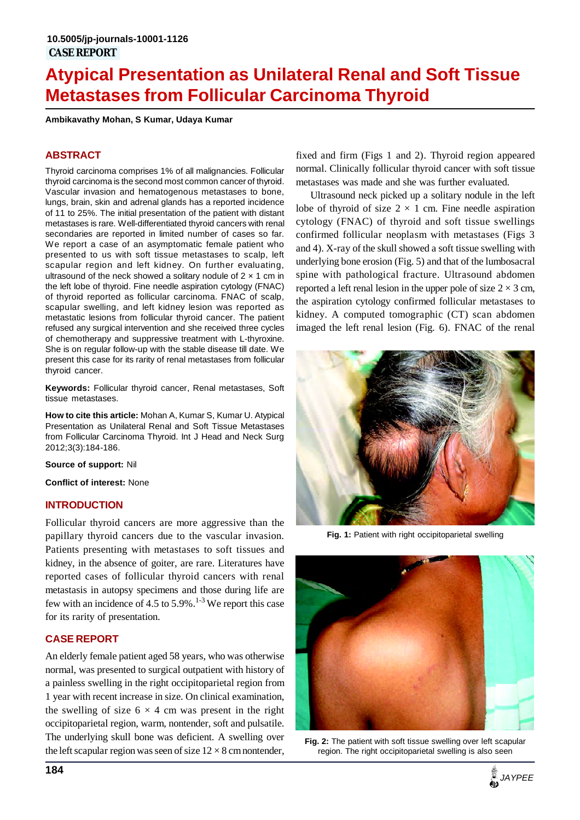# **Atypical Presentation as Unilateral Renal and Soft Tissue Metastases from Follicular Carcinoma Thyroid**

**Ambikavathy Mohan, S Kumar, Udaya Kumar**

# **ABSTRACT**

Thyroid carcinoma comprises 1% of all malignancies. Follicular thyroid carcinoma is the second most common cancer of thyroid. Vascular invasion and hematogenous metastases to bone, lungs, brain, skin and adrenal glands has a reported incidence of 11 to 25%. The initial presentation of the patient with distant metastases is rare. Well-differentiated thyroid cancers with renal secondaries are reported in limited number of cases so far. We report a case of an asymptomatic female patient who presented to us with soft tissue metastases to scalp, left scapular region and left kidney. On further evaluating, ultrasound of the neck showed a solitary nodule of  $2 \times 1$  cm in the left lobe of thyroid. Fine needle aspiration cytology (FNAC) of thyroid reported as follicular carcinoma. FNAC of scalp, scapular swelling, and left kidney lesion was reported as metastatic lesions from follicular thyroid cancer. The patient refused any surgical intervention and she received three cycles of chemotherapy and suppressive treatment with L-thyroxine. She is on regular follow-up with the stable disease till date. We present this case for its rarity of renal metastases from follicular thyroid cancer.

**Keywords:** Follicular thyroid cancer, Renal metastases, Soft tissue metastases.

**How to cite this article:** Mohan A, Kumar S, Kumar U. Atypical Presentation as Unilateral Renal and Soft Tissue Metastases from Follicular Carcinoma Thyroid. Int J Head and Neck Surg 2012;3(3):184-186.

**Source of support:** Nil

**Conflict of interest:** None

#### **INTRODUCTION**

Follicular thyroid cancers are more aggressive than the papillary thyroid cancers due to the vascular invasion. Patients presenting with metastases to soft tissues and kidney, in the absence of goiter, are rare. Literatures have reported cases of follicular thyroid cancers with renal metastasis in autopsy specimens and those during life are few with an incidence of 4.5 to  $5.9\%$ .<sup>1-3</sup> We report this case for its rarity of presentation.

## **CASE REPORT**

An elderly female patient aged 58 years, who was otherwise normal, was presented to surgical outpatient with history of a painless swelling in the right occipitoparietal region from 1 year with recent increase in size. On clinical examination, the swelling of size  $6 \times 4$  cm was present in the right occipitoparietal region, warm, nontender, soft and pulsatile. The underlying skull bone was deficient. A swelling over the left scapular region was seen of size  $12 \times 8$  cm nontender, fixed and firm (Figs 1 and 2). Thyroid region appeared normal. Clinically follicular thyroid cancer with soft tissue metastases was made and she was further evaluated.

Ultrasound neck picked up a solitary nodule in the left lobe of thyroid of size  $2 \times 1$  cm. Fine needle aspiration cytology (FNAC) of thyroid and soft tissue swellings confirmed follicular neoplasm with metastases (Figs 3 and 4). X-ray of the skull showed a soft tissue swelling with underlying bone erosion (Fig. 5) and that of the lumbosacral spine with pathological fracture. Ultrasound abdomen reported a left renal lesion in the upper pole of size  $2 \times 3$  cm, the aspiration cytology confirmed follicular metastases to kidney. A computed tomographic (CT) scan abdomen imaged the left renal lesion (Fig. 6). FNAC of the renal



Fig. 1: Patient with right occipitoparietal swelling



**Fig. 2:** The patient with soft tissue swelling over left scapular region. The right occipitoparietal swelling is also seen

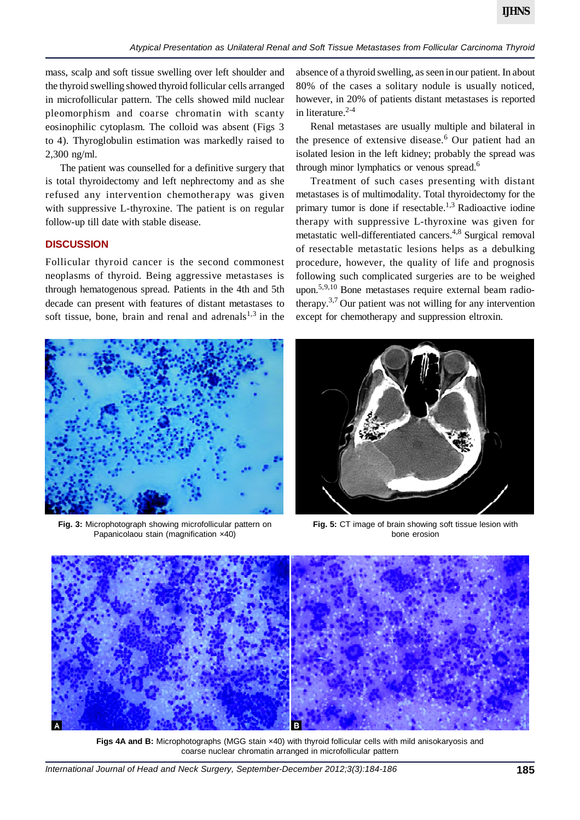mass, scalp and soft tissue swelling over left shoulder and the thyroid swelling showed thyroid follicular cells arranged in microfollicular pattern. The cells showed mild nuclear pleomorphism and coarse chromatin with scanty eosinophilic cytoplasm. The colloid was absent (Figs 3 to 4). Thyroglobulin estimation was markedly raised to 2,300 ng/ml.

The patient was counselled for a definitive surgery that is total thyroidectomy and left nephrectomy and as she refused any intervention chemotherapy was given with suppressive L-thyroxine. The patient is on regular follow-up till date with stable disease.

#### **DISCUSSION**

Follicular thyroid cancer is the second commonest neoplasms of thyroid. Being aggressive metastases is through hematogenous spread. Patients in the 4th and 5th decade can present with features of distant metastases to soft tissue, bone, brain and renal and adrenals $1,3$  in the



**Fig. 3:** Microphotograph showing microfollicular pattern on Papanicolaou stain (magnification ×40)

absence of a thyroid swelling, as seen in our patient. In about 80% of the cases a solitary nodule is usually noticed, however, in 20% of patients distant metastases is reported in literature.2-4

Renal metastases are usually multiple and bilateral in the presence of extensive disease.<sup>6</sup> Our patient had an isolated lesion in the left kidney; probably the spread was through minor lymphatics or venous spread.<sup>6</sup>

Treatment of such cases presenting with distant metastases is of multimodality. Total thyroidectomy for the primary tumor is done if resectable.<sup>1,3</sup> Radioactive iodine therapy with suppressive L-thyroxine was given for metastatic well-differentiated cancers.4,8 Surgical removal of resectable metastatic lesions helps as a debulking procedure, however, the quality of life and prognosis following such complicated surgeries are to be weighed upon.5,9,10 Bone metastases require external beam radiotherapy.<sup>3,7</sup> Our patient was not willing for any intervention except for chemotherapy and suppression eltroxin.



**Fig. 5:** CT image of brain showing soft tissue lesion with bone erosion



**Figs 4A and B:** Microphotographs (MGG stain ×40) with thyroid follicular cells with mild anisokaryosis and coarse nuclear chromatin arranged in microfollicular pattern